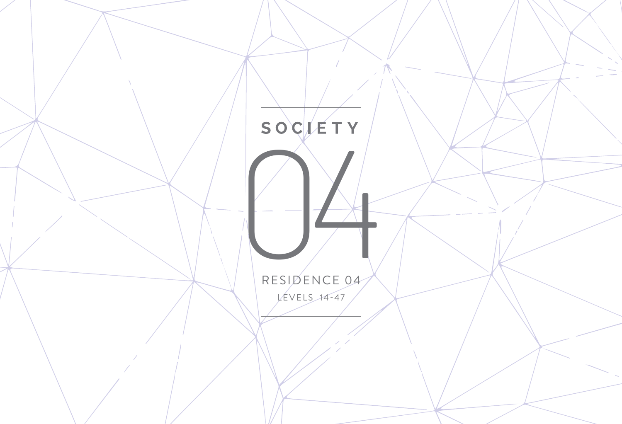